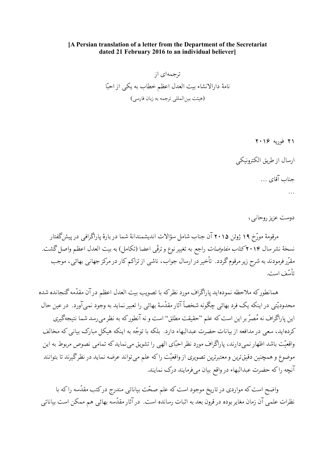## [A Persian translation of a letter from the Department of the Secretariat dated 21 February 2016 to an individual believer]

ترجمهای از نامهٔ دارالانشاء بیت العدل اعظم خطاب به یکی از احبّا (هيئت بين المللي ترجمه به زبان فارسي)

> ۲۱ فوریه ۲۰۱۶ ارسال از طریق الکترونیک حناب آقای …  $\dddotsc$

> > دوست عزیز روحانی ،

مرقومهٔ مورّخ ۱۹ ژوئن ۲۰۱۵ آن جناب شامل سؤالات اندیشمندانهٔ شما در بارهٔ یاراگرافی در پیش گفتار نسخهٔ نشرسال ۲۰۱۴کت*اب مفاوضات* راجع به تغییر نوع و ترقّی اعضا (تکامل) به بیت العدل اعظم واصل گشت. مقرّر فرمودند به شرح زیر مرقوم گردد. تأخیر در ارسال جواب، ناشبی از تراکم کار در مرکز جهانبی بهائبی، موجب تأسّف است.

همانطورکه ملاحظه نمودهاید پاراگراف مورد نظرکه با تصویب بیت العدل اعظم در آن مقدّمه گنجانده شده محدودیّتی در اینکه یک فرد بهائی چگونه شخصاً آثار مقدّسهٔ بهائی را تعبیر نماید به وجود نمیآورد. در عین حال این پاراگراف نه مُصرّ بر این است که علم "حقیقت مطلق" است و نه آنطور که به نظر می رسد شما نتیجهگیری کردهاید، سعی در مدافعه از بیانات حضرت عبدالبهاء دارد. بلکه با توجّه به اینکه هیکل مبارک بیانی که مخالف واقعیّت باشد اظهار نمی دارند، پاراگراف مورد نظر احبّای الهی را تشویق می نماید که تمامی نصوص مربوط به این موضوع و همچنین دقیقترین و معتبرترین تصویری از واقعیّت راکه علم می تواند عرضه نماید در نظرگیرند تا بتوانند آنچه راكه حضرت عبدالبهاء درواقع بيان مىفومايند درك نمايند.

واضح است که مواردی در تاریخ موجود است که علم صحّت بیاناتی مندرج درکتب مقدّسه راکه با نظرات علمی آن زمان مغایر بوده در قرون بعد به اثبات رسانده است. در آثار مقدّسه بهائی هم ممکن است بیاناتی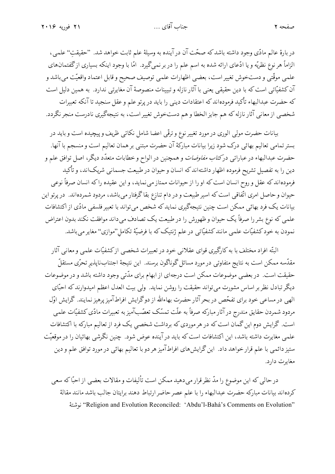## جناب آقای …

در بارهٔ عالم مادّی وجود داشته باشدکه صحّت آن در آینده به وسیلهٔ علم ثابت خواهد شد. "حقیقتِ" علمی، الزاماً هر نوع نظریّه و یا ادّعای ارائه شده به اسم علم را در بر نمیگیرد. امّا با وجود اینکه بسیاری ازگفتمانهای علمی موقّتی و دستخوش تغییر است، بعضبی اظهارات علمی توصیف صحیح و قابل اعتماد واقعیّت میباشد و آن کشفیّاتی است که با دین حقیقی یعنی با آثار نازله و تبیینات منصوصهٔ آن مغایرتی ندارد. به همین دلیل است كه حضرت عبدالبهاء تأكيد فرمودهاندكه اعتقادات ديني را بايد در پرتو علم و عقل سنجيد تا آنكه تعبيرات .<br>شخصی از معانی آثار نازله که هم جایز الخطا و هم دستخوش تغییر است، به نتیجهگیری نادرست منجر نگردد.

بیانات حضرت مولی الوری در مورد تغییر نوع و ترقّی اعضا شامل نکاتبی ظریف و پیچیده است و باید در بستر تمامی تعالیم بهائی درک شود زیرا بیانات مبارکهٔ آن حضرت مبتنی بر همان تعالیم است و منسجم با آنها. حضرت عبدالبهاء در عبارات<sub>ی</sub> در*کتاب مفاوضات* و همچنین در الواح و خطابات متعدّد دیگر، اصل توافق علم و دین را به تفصیل تشریح فرموده اظهار داشتهاندکه انسان و حیوان در طبیعت جسمانی شریک۱ند، و تأکید فرمودهاندکه عقل و روح انسان است که او را از حیوانات ممتاز می نماید، و این عقیده راکه انسان صرفاً نوعی حیوان و حاصل امری اتّفاقی است که اسیر طبیعت و در دام تنازع بقاگرفتار میباشد، مردود شمردهاند. در پرتو این بیانات یک فرد بھائی ممکن است چنین نتیجهگیری نماید که شخص می تواند با تعبیر فلسفی مادّی از اکتشافات علمی که نوع بشر را صرفاً یک حیوان و ظهورش را در طبیعت یک تصادف می داند موافقت نکند بدون اعتراض نمودن به خود کشفیّات علمی مانندکشفیّاتی در علم ژنتیک که با فرضیّهٔ تکامل''موازی'' مغایر میباشد.

البتّه افراد مختلف با به کارگیری قوای عقلانی خود در تعبیرات شخصی ازکشفیّات علمی و معانی آثار مقدّسه ممکن است به نتایج متفاوتی در مورد مسائل گوناگون برسند. این نتیجهٔ اجتنابناپذیر تحرّی مستقلّ حقیقت است. در بعضی موضوعات ممکن است درجهای از ابهام برای مدّتی وجود داشته باشد و در موضوعات دیگر تبادل نظر بر اساس مشورت می تواند حقیقت را روشن نماید. ولی بیت العدل اعظم امیدوارند که احبّای الهی در مساعی خود برای تفحّص در بحرآثار حضرت بهاءالله از دوگرایش افراطآمیز پرهیز نمایند. گرایش اوّل مردود شمردن حقایق مندرج در آثار مبارکه صرفاً به علّت تمسّک تعصّبآمیز به تعبیرات مادّی کشفیّات علمی است. گرایش دوم این گمان است که در هر موردی که برداشت شخصی یک فرد از تعالیم مبارکه با اکتشافات علمی مغایرت داشته باشد، این اکتشافات است که باید در آینده عوض شود. چنین نگرشبی بهائیان را در موقعیّت ستیز دائمی با علم قرار خواهد داد. این گرایشهای افراطآمیز هر دو با تعالیم بهائی در مورد توافق علم و دین مغاړت دارد.

درحالی که این موضوع را مدّ نظر قرار میدهید ممکن است تألیفات و مقالات بعضبی از احبّاکه سعی كردهاند بيانات مباركه حضرت عبدالبهاء را با علم عصر حاضر ارتباط دهند برايتان جالب باشد مانند مقالهٔ ''Religion and Evolution Reconciled: 'Abdu'l-Bahá's Comments on Evolution'' نوشتة